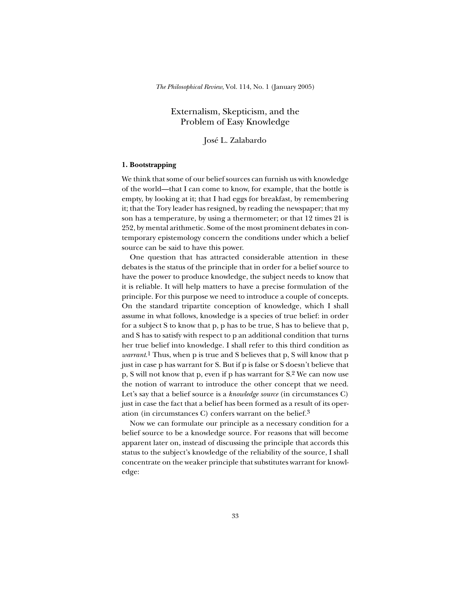*The Philosophical Review*, Vol. 114, No. 1 (January 2005)

Externalism, Skepticism, and the Problem of Easy Knowledge

José L. Zalabardo

# **1. Bootstrapping**

We think that some of our belief sources can furnish us with knowledge of the world—that I can come to know, for example, that the bottle is empty, by looking at it; that I had eggs for breakfast, by remembering it; that the Tory leader has resigned, by reading the newspaper; that my son has a temperature, by using a thermometer; or that 12 times 21 is 252, by mental arithmetic. Some of the most prominent debates in contemporary epistemology concern the conditions under which a belief source can be said to have this power.

One question that has attracted considerable attention in these debates is the status of the principle that in order for a belief source to have the power to produce knowledge, the subject needs to know that it is reliable. It will help matters to have a precise formulation of the principle. For this purpose we need to introduce a couple of concepts. On the standard tripartite conception of knowledge, which I shall assume in what follows, knowledge is a species of true belief: in order for a subject S to know that p, p has to be true, S has to believe that p, and S has to satisfy with respect to p an additional condition that turns her true belief into knowledge. I shall refer to this third condition as *warrant*.<sup>1</sup> Thus, when p is true and S believes that p, S will know that p just in case p has warrant for S. But if p is false or S doesn't believe that p, S will not know that p, even if p has warrant for S.2 We can now use the notion of warrant to introduce the other concept that we need. Let's say that a belief source is a *knowledge source* (in circumstances C) just in case the fact that a belief has been formed as a result of its operation (in circumstances C) confers warrant on the belief.3

Now we can formulate our principle as a necessary condition for a belief source to be a knowledge source. For reasons that will become apparent later on, instead of discussing the principle that accords this status to the subject's knowledge of the reliability of the source, I shall concentrate on the weaker principle that substitutes warrant for knowledge: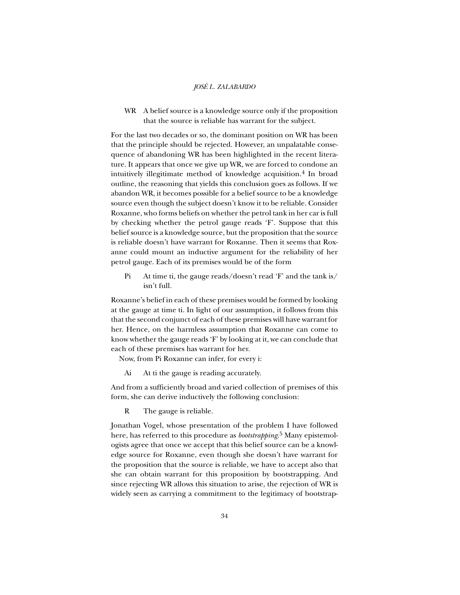WR A belief source is a knowledge source only if the proposition that the source is reliable has warrant for the subject.

For the last two decades or so, the dominant position on WR has been that the principle should be rejected. However, an unpalatable consequence of abandoning WR has been highlighted in the recent literature. It appears that once we give up WR, we are forced to condone an intuitively illegitimate method of knowledge acquisition.4 In broad outline, the reasoning that yields this conclusion goes as follows. If we abandon WR, it becomes possible for a belief source to be a knowledge source even though the subject doesn't know it to be reliable. Consider Roxanne, who forms beliefs on whether the petrol tank in her car is full by checking whether the petrol gauge reads 'F'. Suppose that this belief source is a knowledge source, but the proposition that the source is reliable doesn't have warrant for Roxanne. Then it seems that Roxanne could mount an inductive argument for the reliability of her petrol gauge. Each of its premises would be of the form

Pi At time ti, the gauge reads/doesn't read 'F' and the tank is/ isn't full.

Roxanne's belief in each of these premises would be formed by looking at the gauge at time ti. In light of our assumption, it follows from this that the second conjunct of each of these premises will have warrant for her. Hence, on the harmless assumption that Roxanne can come to know whether the gauge reads 'F' by looking at it, we can conclude that each of these premises has warrant for her.

Now, from Pi Roxanne can infer, for every i:

Ai At ti the gauge is reading accurately.

And from a sufficiently broad and varied collection of premises of this form, she can derive inductively the following conclusion:

R The gauge is reliable.

Jonathan Vogel, whose presentation of the problem I have followed here, has referred to this procedure as *bootstrapping*.5 Many epistemologists agree that once we accept that this belief source can be a knowledge source for Roxanne, even though she doesn't have warrant for the proposition that the source is reliable, we have to accept also that she can obtain warrant for this proposition by bootstrapping. And since rejecting WR allows this situation to arise, the rejection of WR is widely seen as carrying a commitment to the legitimacy of bootstrap-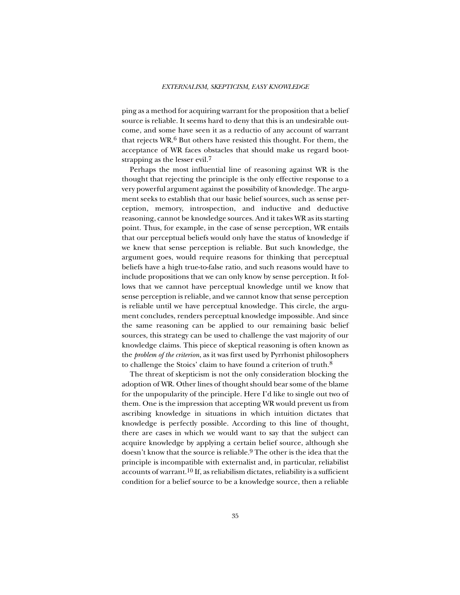ping as a method for acquiring warrant for the proposition that a belief source is reliable. It seems hard to deny that this is an undesirable outcome, and some have seen it as a reductio of any account of warrant that rejects  $WR<sup>6</sup>$  But others have resisted this thought. For them, the acceptance of WR faces obstacles that should make us regard bootstrapping as the lesser evil.7

Perhaps the most influential line of reasoning against WR is the thought that rejecting the principle is the only effective response to a very powerful argument against the possibility of knowledge. The argument seeks to establish that our basic belief sources, such as sense perception, memory, introspection, and inductive and deductive reasoning, cannot be knowledge sources. And it takes WR as its starting point. Thus, for example, in the case of sense perception, WR entails that our perceptual beliefs would only have the status of knowledge if we knew that sense perception is reliable. But such knowledge, the argument goes, would require reasons for thinking that perceptual beliefs have a high true-to-false ratio, and such reasons would have to include propositions that we can only know by sense perception. It follows that we cannot have perceptual knowledge until we know that sense perception is reliable, and we cannot know that sense perception is reliable until we have perceptual knowledge. This circle, the argument concludes, renders perceptual knowledge impossible. And since the same reasoning can be applied to our remaining basic belief sources, this strategy can be used to challenge the vast majority of our knowledge claims. This piece of skeptical reasoning is often known as the *problem of the criterion*, as it was first used by Pyrrhonist philosophers to challenge the Stoics' claim to have found a criterion of truth.8

The threat of skepticism is not the only consideration blocking the adoption of WR. Other lines of thought should bear some of the blame for the unpopularity of the principle. Here I'd like to single out two of them. One is the impression that accepting WR would prevent us from ascribing knowledge in situations in which intuition dictates that knowledge is perfectly possible. According to this line of thought, there are cases in which we would want to say that the subject can acquire knowledge by applying a certain belief source, although she doesn't know that the source is reliable.9 The other is the idea that the principle is incompatible with externalist and, in particular, reliabilist accounts of warrant.<sup>10</sup> If, as reliabilism dictates, reliability is a sufficient condition for a belief source to be a knowledge source, then a reliable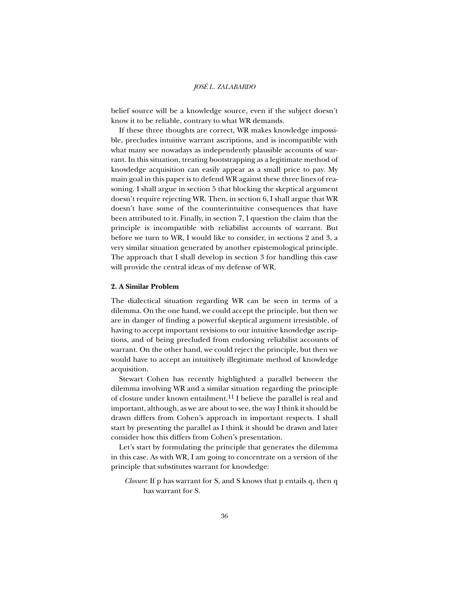belief source will be a knowledge source, even if the subject doesn't know it to be reliable, contrary to what WR demands.

If these three thoughts are correct, WR makes knowledge impossible, precludes intuitive warrant ascriptions, and is incompatible with what many see nowadays as independently plausible accounts of warrant. In this situation, treating bootstrapping as a legitimate method of knowledge acquisition can easily appear as a small price to pay. My main goal in this paper is to defend WR against these three lines of reasoning. I shall argue in section 5 that blocking the skeptical argument doesn't require rejecting WR. Then, in section 6, I shall argue that WR doesn't have some of the counterintuitive consequences that have been attributed to it. Finally, in section 7, I question the claim that the principle is incompatible with reliabilist accounts of warrant. But before we turn to WR, I would like to consider, in sections 2 and 3, a very similar situation generated by another epistemological principle. The approach that I shall develop in section 3 for handling this case will provide the central ideas of my defense of WR.

# **2. A Similar Problem**

The dialectical situation regarding WR can be seen in terms of a dilemma. On the one hand, we could accept the principle, but then we are in danger of finding a powerful skeptical argument irresistible, of having to accept important revisions to our intuitive knowledge ascriptions, and of being precluded from endorsing reliabilist accounts of warrant. On the other hand, we could reject the principle, but then we would have to accept an intuitively illegitimate method of knowledge acquisition.

Stewart Cohen has recently highlighted a parallel between the dilemma involving WR and a similar situation regarding the principle of closure under known entailment.11 I believe the parallel is real and important, although, as we are about to see, the way I think it should be drawn differs from Cohen's approach in important respects. I shall start by presenting the parallel as I think it should be drawn and later consider how this differs from Cohen's presentation.

Let's start by formulating the principle that generates the dilemma in this case. As with WR, I am going to concentrate on a version of the principle that substitutes warrant for knowledge:

*Closure*: If p has warrant for S, and S knows that p entails q, then q has warrant for S.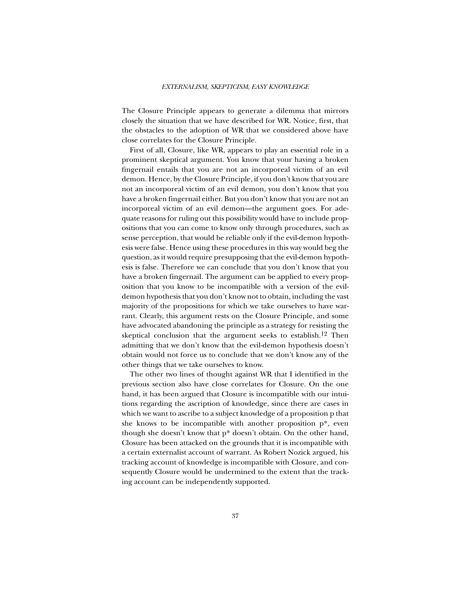The Closure Principle appears to generate a dilemma that mirrors closely the situation that we have described for WR. Notice, first, that the obstacles to the adoption of WR that we considered above have close correlates for the Closure Principle.

First of all, Closure, like WR, appears to play an essential role in a prominent skeptical argument. You know that your having a broken fingernail entails that you are not an incorporeal victim of an evil demon. Hence, by the Closure Principle, if you don't know that you are not an incorporeal victim of an evil demon, you don't know that you have a broken fingernail either. But you don't know that you are not an incorporeal victim of an evil demon—the argument goes. For adequate reasons for ruling out this possibility would have to include propositions that you can come to know only through procedures, such as sense perception, that would be reliable only if the evil-demon hypothesis were false. Hence using these procedures in this way would beg the question, as it would require presupposing that the evil-demon hypothesis is false. Therefore we can conclude that you don't know that you have a broken fingernail. The argument can be applied to every proposition that you know to be incompatible with a version of the evildemon hypothesis that you don't know not to obtain, including the vast majority of the propositions for which we take ourselves to have warrant. Clearly, this argument rests on the Closure Principle, and some have advocated abandoning the principle as a strategy for resisting the skeptical conclusion that the argument seeks to establish.<sup>12</sup> Then admitting that we don't know that the evil-demon hypothesis doesn't obtain would not force us to conclude that we don't know any of the other things that we take ourselves to know.

The other two lines of thought against WR that I identified in the previous section also have close correlates for Closure. On the one hand, it has been argued that Closure is incompatible with our intuitions regarding the ascription of knowledge, since there are cases in which we want to ascribe to a subject knowledge of a proposition p that she knows to be incompatible with another proposition  $p^*$ , even though she doesn't know that p\* doesn't obtain. On the other hand, Closure has been attacked on the grounds that it is incompatible with a certain externalist account of warrant. As Robert Nozick argued, his tracking account of knowledge is incompatible with Closure, and consequently Closure would be undermined to the extent that the tracking account can be independently supported.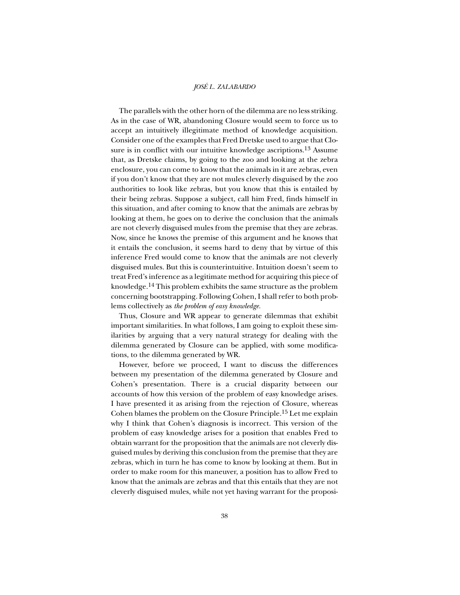The parallels with the other horn of the dilemma are no less striking. As in the case of WR, abandoning Closure would seem to force us to accept an intuitively illegitimate method of knowledge acquisition. Consider one of the examples that Fred Dretske used to argue that Closure is in conflict with our intuitive knowledge ascriptions.<sup>13</sup> Assume that, as Dretske claims, by going to the zoo and looking at the zebra enclosure, you can come to know that the animals in it are zebras, even if you don't know that they are not mules cleverly disguised by the zoo authorities to look like zebras, but you know that this is entailed by their being zebras. Suppose a subject, call him Fred, finds himself in this situation, and after coming to know that the animals are zebras by looking at them, he goes on to derive the conclusion that the animals are not cleverly disguised mules from the premise that they are zebras. Now, since he knows the premise of this argument and he knows that it entails the conclusion, it seems hard to deny that by virtue of this inference Fred would come to know that the animals are not cleverly disguised mules. But this is counterintuitive. Intuition doesn't seem to treat Fred's inference as a legitimate method for acquiring this piece of knowledge.14 This problem exhibits the same structure as the problem concerning bootstrapping. Following Cohen, I shall refer to both problems collectively as *the problem of easy knowledge.*

Thus, Closure and WR appear to generate dilemmas that exhibit important similarities. In what follows, I am going to exploit these similarities by arguing that a very natural strategy for dealing with the dilemma generated by Closure can be applied, with some modifications, to the dilemma generated by WR.

However, before we proceed, I want to discuss the differences between my presentation of the dilemma generated by Closure and Cohen's presentation. There is a crucial disparity between our accounts of how this version of the problem of easy knowledge arises. I have presented it as arising from the rejection of Closure, whereas Cohen blames the problem on the Closure Principle.15 Let me explain why I think that Cohen's diagnosis is incorrect. This version of the problem of easy knowledge arises for a position that enables Fred to obtain warrant for the proposition that the animals are not cleverly disguised mules by deriving this conclusion from the premise that they are zebras, which in turn he has come to know by looking at them. But in order to make room for this maneuver, a position has to allow Fred to know that the animals are zebras and that this entails that they are not cleverly disguised mules, while not yet having warrant for the proposi-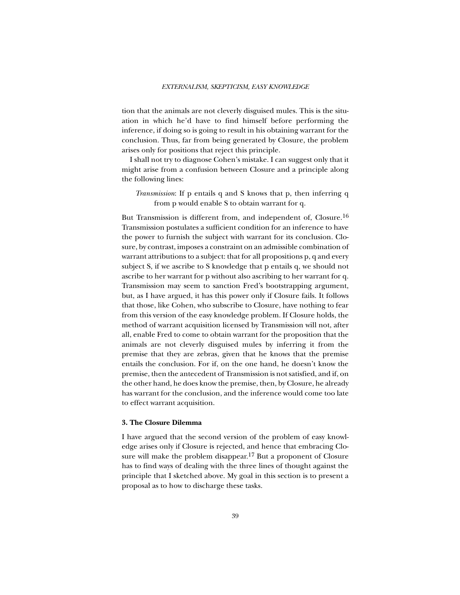tion that the animals are not cleverly disguised mules. This is the situation in which he'd have to find himself before performing the inference, if doing so is going to result in his obtaining warrant for the conclusion. Thus, far from being generated by Closure, the problem arises only for positions that reject this principle.

I shall not try to diagnose Cohen's mistake. I can suggest only that it might arise from a confusion between Closure and a principle along the following lines:

*Transmission*: If p entails q and S knows that p, then inferring q from p would enable S to obtain warrant for q.

But Transmission is different from, and independent of, Closure.<sup>16</sup> Transmission postulates a sufficient condition for an inference to have the power to furnish the subject with warrant for its conclusion. Closure, by contrast, imposes a constraint on an admissible combination of warrant attributions to a subject: that for all propositions p, q and every subject S, if we ascribe to S knowledge that p entails q, we should not ascribe to her warrant for p without also ascribing to her warrant for q. Transmission may seem to sanction Fred's bootstrapping argument, but, as I have argued, it has this power only if Closure fails. It follows that those, like Cohen, who subscribe to Closure, have nothing to fear from this version of the easy knowledge problem. If Closure holds, the method of warrant acquisition licensed by Transmission will not, after all, enable Fred to come to obtain warrant for the proposition that the animals are not cleverly disguised mules by inferring it from the premise that they are zebras, given that he knows that the premise entails the conclusion. For if, on the one hand, he doesn't know the premise, then the antecedent of Transmission is not satisfied, and if, on the other hand, he does know the premise, then, by Closure, he already has warrant for the conclusion, and the inference would come too late to effect warrant acquisition.

# **3. The Closure Dilemma**

I have argued that the second version of the problem of easy knowledge arises only if Closure is rejected, and hence that embracing Closure will make the problem disappear.<sup>17</sup> But a proponent of Closure has to find ways of dealing with the three lines of thought against the principle that I sketched above. My goal in this section is to present a proposal as to how to discharge these tasks.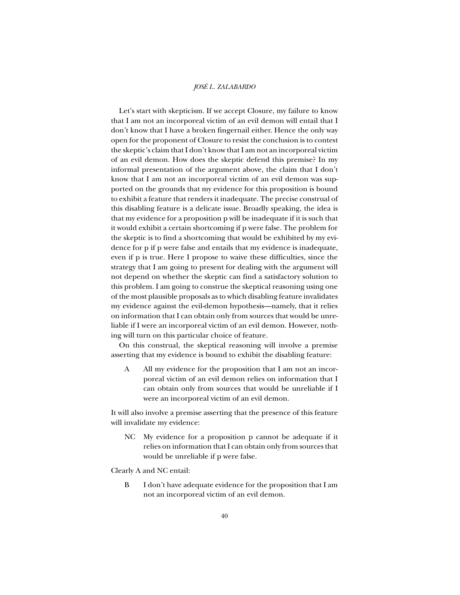Let's start with skepticism. If we accept Closure, my failure to know that I am not an incorporeal victim of an evil demon will entail that I don't know that I have a broken fingernail either. Hence the only way open for the proponent of Closure to resist the conclusion is to contest the skeptic's claim that I don't know that I am not an incorporeal victim of an evil demon. How does the skeptic defend this premise? In my informal presentation of the argument above, the claim that I don't know that I am not an incorporeal victim of an evil demon was supported on the grounds that my evidence for this proposition is bound to exhibit a feature that renders it inadequate. The precise construal of this disabling feature is a delicate issue. Broadly speaking, the idea is that my evidence for a proposition p will be inadequate if it is such that it would exhibit a certain shortcoming if p were false. The problem for the skeptic is to find a shortcoming that would be exhibited by my evidence for p if p were false and entails that my evidence is inadequate, even if p is true. Here I propose to waive these difficulties, since the strategy that I am going to present for dealing with the argument will not depend on whether the skeptic can find a satisfactory solution to this problem. I am going to construe the skeptical reasoning using one of the most plausible proposals as to which disabling feature invalidates my evidence against the evil-demon hypothesis—namely, that it relies on information that I can obtain only from sources that would be unreliable if I were an incorporeal victim of an evil demon. However, nothing will turn on this particular choice of feature.

On this construal, the skeptical reasoning will involve a premise asserting that my evidence is bound to exhibit the disabling feature:

A All my evidence for the proposition that I am not an incorporeal victim of an evil demon relies on information that I can obtain only from sources that would be unreliable if I were an incorporeal victim of an evil demon.

It will also involve a premise asserting that the presence of this feature will invalidate my evidence:

NC My evidence for a proposition p cannot be adequate if it relies on information that I can obtain only from sources that would be unreliable if p were false.

Clearly A and NC entail:

B I don't have adequate evidence for the proposition that I am not an incorporeal victim of an evil demon.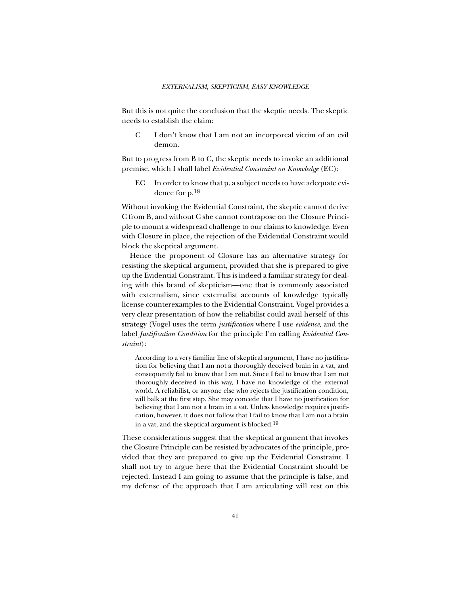But this is not quite the conclusion that the skeptic needs. The skeptic needs to establish the claim:

C I don't know that I am not an incorporeal victim of an evil demon.

But to progress from B to C, the skeptic needs to invoke an additional premise, which I shall label *Evidential Constraint on Knowledge* (EC):

EC In order to know that p, a subject needs to have adequate evidence for p.18

Without invoking the Evidential Constraint, the skeptic cannot derive C from B, and without C she cannot contrapose on the Closure Principle to mount a widespread challenge to our claims to knowledge. Even with Closure in place, the rejection of the Evidential Constraint would block the skeptical argument.

Hence the proponent of Closure has an alternative strategy for resisting the skeptical argument, provided that she is prepared to give up the Evidential Constraint. This is indeed a familiar strategy for dealing with this brand of skepticism—one that is commonly associated with externalism, since externalist accounts of knowledge typically license counterexamples to the Evidential Constraint. Vogel provides a very clear presentation of how the reliabilist could avail herself of this strategy (Vogel uses the term *justification* where I use *evidence*, and the label *Justification Condition* for the principle I'm calling *Evidential Constraint*):

According to a very familiar line of skeptical argument, I have no justification for believing that I am not a thoroughly deceived brain in a vat, and consequently fail to know that I am not. Since I fail to know that I am not thoroughly deceived in this way, I have no knowledge of the external world. A reliabilist, or anyone else who rejects the justification condition, will balk at the first step. She may concede that I have no justification for believing that I am not a brain in a vat. Unless knowledge requires justification, however, it does not follow that I fail to know that I am not a brain in a vat, and the skeptical argument is blocked.19

These considerations suggest that the skeptical argument that invokes the Closure Principle can be resisted by advocates of the principle, provided that they are prepared to give up the Evidential Constraint. I shall not try to argue here that the Evidential Constraint should be rejected. Instead I am going to assume that the principle is false, and my defense of the approach that I am articulating will rest on this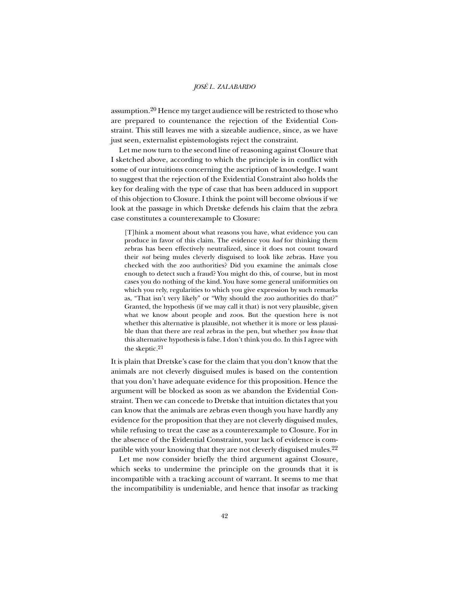assumption.20 Hence my target audience will be restricted to those who are prepared to countenance the rejection of the Evidential Constraint. This still leaves me with a sizeable audience, since, as we have just seen, externalist epistemologists reject the constraint.

Let me now turn to the second line of reasoning against Closure that I sketched above, according to which the principle is in conflict with some of our intuitions concerning the ascription of knowledge. I want to suggest that the rejection of the Evidential Constraint also holds the key for dealing with the type of case that has been adduced in support of this objection to Closure. I think the point will become obvious if we look at the passage in which Dretske defends his claim that the zebra case constitutes a counterexample to Closure:

[T]hink a moment about what reasons you have, what evidence you can produce in favor of this claim. The evidence you *had* for thinking them zebras has been effectively neutralized, since it does not count toward their *not* being mules cleverly disguised to look like zebras. Have you checked with the zoo authorities? Did you examine the animals close enough to detect such a fraud? You might do this, of course, but in most cases you do nothing of the kind. You have some general uniformities on which you rely, regularities to which you give expression by such remarks as, "That isn't very likely" or "Why should the zoo authorities do that?" Granted, the hypothesis (if we may call it that) is not very plausible, given what we know about people and zoos. But the question here is not whether this alternative is plausible, not whether it is more or less plausible than that there are real zebras in the pen, but whether *you know* that this alternative hypothesis is false. I don't think you do. In this I agree with the skeptic.21

It is plain that Dretske's case for the claim that you don't know that the animals are not cleverly disguised mules is based on the contention that you don't have adequate evidence for this proposition. Hence the argument will be blocked as soon as we abandon the Evidential Constraint. Then we can concede to Dretske that intuition dictates that you can know that the animals are zebras even though you have hardly any evidence for the proposition that they are not cleverly disguised mules, while refusing to treat the case as a counterexample to Closure. For in the absence of the Evidential Constraint, your lack of evidence is compatible with your knowing that they are not cleverly disguised mules.22

Let me now consider briefly the third argument against Closure, which seeks to undermine the principle on the grounds that it is incompatible with a tracking account of warrant. It seems to me that the incompatibility is undeniable, and hence that insofar as tracking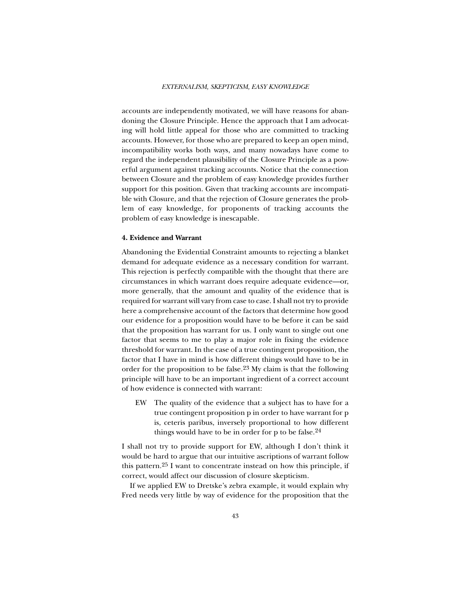accounts are independently motivated, we will have reasons for abandoning the Closure Principle. Hence the approach that I am advocating will hold little appeal for those who are committed to tracking accounts. However, for those who are prepared to keep an open mind, incompatibility works both ways, and many nowadays have come to regard the independent plausibility of the Closure Principle as a powerful argument against tracking accounts. Notice that the connection between Closure and the problem of easy knowledge provides further support for this position. Given that tracking accounts are incompatible with Closure, and that the rejection of Closure generates the problem of easy knowledge, for proponents of tracking accounts the problem of easy knowledge is inescapable.

#### **4. Evidence and Warrant**

Abandoning the Evidential Constraint amounts to rejecting a blanket demand for adequate evidence as a necessary condition for warrant. This rejection is perfectly compatible with the thought that there are circumstances in which warrant does require adequate evidence—or, more generally, that the amount and quality of the evidence that is required for warrant will vary from case to case. I shall not try to provide here a comprehensive account of the factors that determine how good our evidence for a proposition would have to be before it can be said that the proposition has warrant for us. I only want to single out one factor that seems to me to play a major role in fixing the evidence threshold for warrant. In the case of a true contingent proposition, the factor that I have in mind is how different things would have to be in order for the proposition to be false.<sup>23</sup> My claim is that the following principle will have to be an important ingredient of a correct account of how evidence is connected with warrant:

EW The quality of the evidence that a subject has to have for a true contingent proposition p in order to have warrant for p is, ceteris paribus, inversely proportional to how different things would have to be in order for p to be false.  $24$ 

I shall not try to provide support for EW, although I don't think it would be hard to argue that our intuitive ascriptions of warrant follow this pattern.25 I want to concentrate instead on how this principle, if correct, would affect our discussion of closure skepticism.

If we applied EW to Dretske's zebra example, it would explain why Fred needs very little by way of evidence for the proposition that the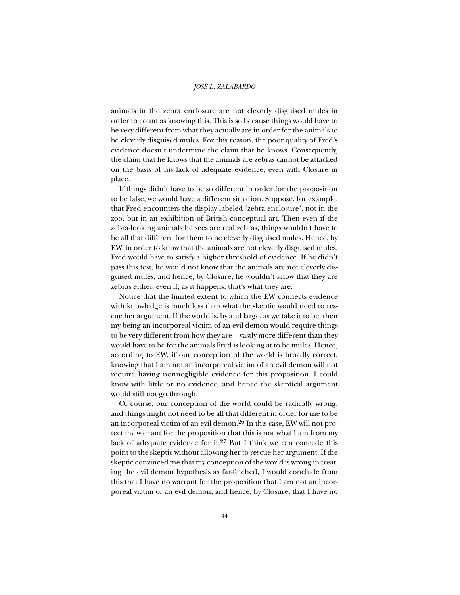animals in the zebra enclosure are not cleverly disguised mules in order to count as knowing this. This is so because things would have to be very different from what they actually are in order for the animals to be cleverly disguised mules. For this reason, the poor quality of Fred's evidence doesn't undermine the claim that he knows. Consequently, the claim that he knows that the animals are zebras cannot be attacked on the basis of his lack of adequate evidence, even with Closure in place.

If things didn't have to be so different in order for the proposition to be false, we would have a different situation. Suppose, for example, that Fred encounters the display labeled 'zebra enclosure', not in the zoo, but in an exhibition of British conceptual art. Then even if the zebra-looking animals he sees are real zebras, things wouldn't have to be all that different for them to be cleverly disguised mules. Hence, by EW, in order to know that the animals are not cleverly disguised mules, Fred would have to satisfy a higher threshold of evidence. If he didn't pass this test, he would not know that the animals are not cleverly disguised mules, and hence, by Closure, he wouldn't know that they are zebras either, even if, as it happens, that's what they are.

Notice that the limited extent to which the EW connects evidence with knowledge is much less than what the skeptic would need to rescue her argument. If the world is, by and large, as we take it to be, then my being an incorporeal victim of an evil demon would require things to be very different from how they are—vastly more different than they would have to be for the animals Fred is looking at to be mules. Hence, according to EW, if our conception of the world is broadly correct, knowing that I am not an incorporeal victim of an evil demon will not require having nonnegligible evidence for this proposition. I could know with little or no evidence, and hence the skeptical argument would still not go through.

Of course, our conception of the world could be radically wrong, and things might not need to be all that different in order for me to be an incorporeal victim of an evil demon.26 In this case, EW will not protect my warrant for the proposition that this is not what I am from my lack of adequate evidence for it. $27$  But I think we can concede this point to the skeptic without allowing her to rescue her argument. If the skeptic convinced me that my conception of the world is wrong in treating the evil demon hypothesis as far-fetched, I would conclude from this that I have no warrant for the proposition that I am not an incorporeal victim of an evil demon, and hence, by Closure, that I have no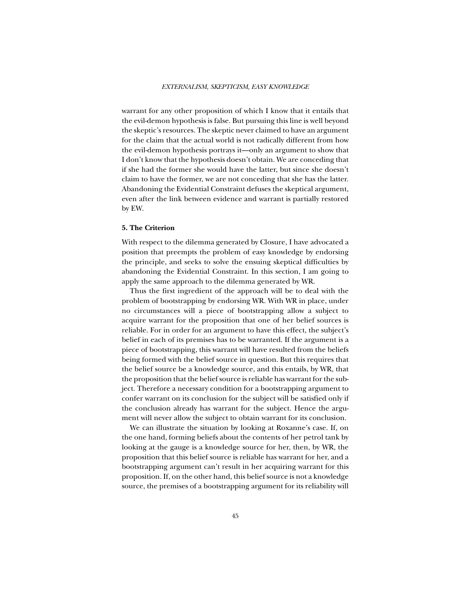warrant for any other proposition of which I know that it entails that the evil-demon hypothesis is false. But pursuing this line is well beyond the skeptic's resources. The skeptic never claimed to have an argument for the claim that the actual world is not radically different from how the evil-demon hypothesis portrays it—only an argument to show that I don't know that the hypothesis doesn't obtain. We are conceding that if she had the former she would have the latter, but since she doesn't claim to have the former, we are not conceding that she has the latter. Abandoning the Evidential Constraint defuses the skeptical argument, even after the link between evidence and warrant is partially restored by EW.

# **5. The Criterion**

With respect to the dilemma generated by Closure, I have advocated a position that preempts the problem of easy knowledge by endorsing the principle, and seeks to solve the ensuing skeptical difficulties by abandoning the Evidential Constraint. In this section, I am going to apply the same approach to the dilemma generated by WR.

Thus the first ingredient of the approach will be to deal with the problem of bootstrapping by endorsing WR. With WR in place, under no circumstances will a piece of bootstrapping allow a subject to acquire warrant for the proposition that one of her belief sources is reliable. For in order for an argument to have this effect, the subject's belief in each of its premises has to be warranted. If the argument is a piece of bootstrapping, this warrant will have resulted from the beliefs being formed with the belief source in question. But this requires that the belief source be a knowledge source, and this entails, by WR, that the proposition that the belief source is reliable has warrant for the subject. Therefore a necessary condition for a bootstrapping argument to confer warrant on its conclusion for the subject will be satisfied only if the conclusion already has warrant for the subject. Hence the argument will never allow the subject to obtain warrant for its conclusion.

We can illustrate the situation by looking at Roxanne's case. If, on the one hand, forming beliefs about the contents of her petrol tank by looking at the gauge is a knowledge source for her, then, by WR, the proposition that this belief source is reliable has warrant for her, and a bootstrapping argument can't result in her acquiring warrant for this proposition. If, on the other hand, this belief source is not a knowledge source, the premises of a bootstrapping argument for its reliability will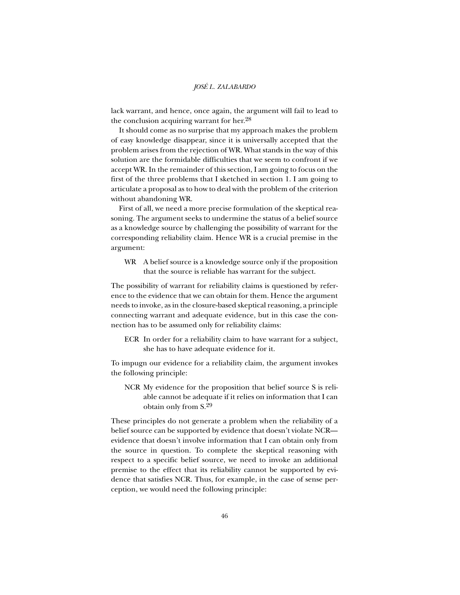lack warrant, and hence, once again, the argument will fail to lead to the conclusion acquiring warrant for her.28

It should come as no surprise that my approach makes the problem of easy knowledge disappear, since it is universally accepted that the problem arises from the rejection of WR. What stands in the way of this solution are the formidable difficulties that we seem to confront if we accept WR. In the remainder of this section, I am going to focus on the first of the three problems that I sketched in section 1. I am going to articulate a proposal as to how to deal with the problem of the criterion without abandoning WR.

First of all, we need a more precise formulation of the skeptical reasoning. The argument seeks to undermine the status of a belief source as a knowledge source by challenging the possibility of warrant for the corresponding reliability claim. Hence WR is a crucial premise in the argument:

WR A belief source is a knowledge source only if the proposition that the source is reliable has warrant for the subject.

The possibility of warrant for reliability claims is questioned by reference to the evidence that we can obtain for them. Hence the argument needs to invoke, as in the closure-based skeptical reasoning, a principle connecting warrant and adequate evidence, but in this case the connection has to be assumed only for reliability claims:

ECR In order for a reliability claim to have warrant for a subject, she has to have adequate evidence for it.

To impugn our evidence for a reliability claim, the argument invokes the following principle:

NCR My evidence for the proposition that belief source S is reliable cannot be adequate if it relies on information that I can obtain only from S.29

These principles do not generate a problem when the reliability of a belief source can be supported by evidence that doesn't violate NCR evidence that doesn't involve information that I can obtain only from the source in question. To complete the skeptical reasoning with respect to a specific belief source, we need to invoke an additional premise to the effect that its reliability cannot be supported by evidence that satisfies NCR. Thus, for example, in the case of sense perception, we would need the following principle: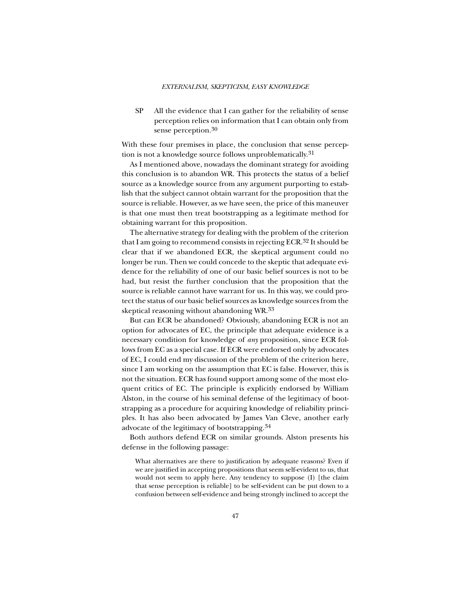SP All the evidence that I can gather for the reliability of sense perception relies on information that I can obtain only from sense perception.30

With these four premises in place, the conclusion that sense perception is not a knowledge source follows unproblematically.31

As I mentioned above, nowadays the dominant strategy for avoiding this conclusion is to abandon WR. This protects the status of a belief source as a knowledge source from any argument purporting to establish that the subject cannot obtain warrant for the proposition that the source is reliable. However, as we have seen, the price of this maneuver is that one must then treat bootstrapping as a legitimate method for obtaining warrant for this proposition.

The alternative strategy for dealing with the problem of the criterion that I am going to recommend consists in rejecting ECR.32 It should be clear that if we abandoned ECR, the skeptical argument could no longer be run. Then we could concede to the skeptic that adequate evidence for the reliability of one of our basic belief sources is not to be had, but resist the further conclusion that the proposition that the source is reliable cannot have warrant for us. In this way, we could protect the status of our basic belief sources as knowledge sources from the skeptical reasoning without abandoning WR.33

But can ECR be abandoned? Obviously, abandoning ECR is not an option for advocates of EC, the principle that adequate evidence is a necessary condition for knowledge of *any* proposition, since ECR follows from EC as a special case. If ECR were endorsed only by advocates of EC, I could end my discussion of the problem of the criterion here, since I am working on the assumption that EC is false. However, this is not the situation. ECR has found support among some of the most eloquent critics of EC. The principle is explicitly endorsed by William Alston, in the course of his seminal defense of the legitimacy of bootstrapping as a procedure for acquiring knowledge of reliability principles. It has also been advocated by James Van Cleve, another early advocate of the legitimacy of bootstrapping.34

Both authors defend ECR on similar grounds. Alston presents his defense in the following passage:

What alternatives are there to justification by adequate reasons? Even if we are justified in accepting propositions that seem self-evident to us, that would not seem to apply here. Any tendency to suppose (I) [the claim that sense perception is reliable] to be self-evident can be put down to a confusion between self-evidence and being strongly inclined to accept the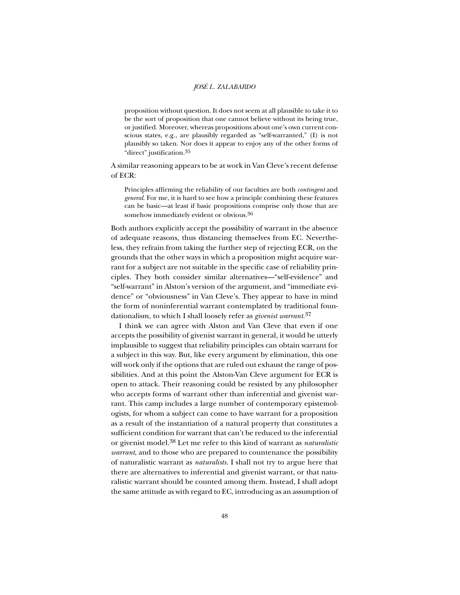proposition without question. It does not seem at all plausible to take it to be the sort of proposition that one cannot believe without its being true, or justified. Moreover, whereas propositions about one's own current conscious states, e.g., are plausibly regarded as "self-warranted," (I) is not plausibly so taken. Nor does it appear to enjoy any of the other forms of "direct" justification.35

A similar reasoning appears to be at work in Van Cleve's recent defense of ECR:

Principles affirming the reliability of our faculties are both *contingent* and *general*. For me, it is hard to see how a principle combining these features can be basic—at least if basic propositions comprise only those that are somehow immediately evident or obvious.36

Both authors explicitly accept the possibility of warrant in the absence of adequate reasons, thus distancing themselves from EC. Nevertheless, they refrain from taking the further step of rejecting ECR, on the grounds that the other ways in which a proposition might acquire warrant for a subject are not suitable in the specific case of reliability principles. They both consider similar alternatives—"self-evidence" and "self-warrant" in Alston's version of the argument, and "immediate evidence" or "obviousness" in Van Cleve's. They appear to have in mind the form of noninferential warrant contemplated by traditional foundationalism, to which I shall loosely refer as *givenist warrant*.37

I think we can agree with Alston and Van Cleve that even if one accepts the possibility of givenist warrant in general, it would be utterly implausible to suggest that reliability principles can obtain warrant for a subject in this way. But, like every argument by elimination, this one will work only if the options that are ruled out exhaust the range of possibilities. And at this point the Alston-Van Cleve argument for ECR is open to attack. Their reasoning could be resisted by any philosopher who accepts forms of warrant other than inferential and givenist warrant. This camp includes a large number of contemporary epistemologists, for whom a subject can come to have warrant for a proposition as a result of the instantiation of a natural property that constitutes a sufficient condition for warrant that can't be reduced to the inferential or givenist model.38 Let me refer to this kind of warrant as *naturalistic warrant*, and to those who are prepared to countenance the possibility of naturalistic warrant as *naturalists*. I shall not try to argue here that there are alternatives to inferential and givenist warrant, or that naturalistic warrant should be counted among them. Instead, I shall adopt the same attitude as with regard to EC, introducing as an assumption of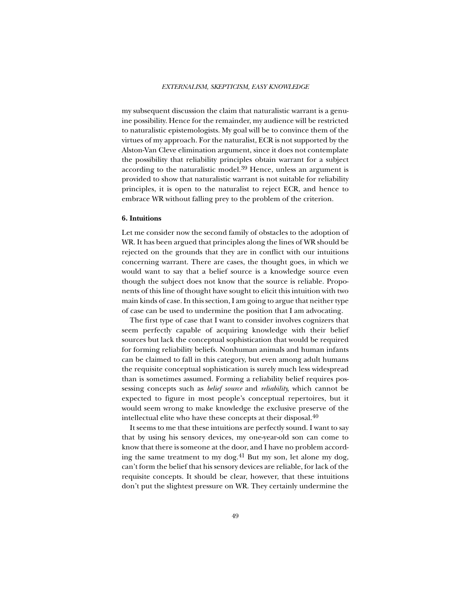my subsequent discussion the claim that naturalistic warrant is a genuine possibility. Hence for the remainder, my audience will be restricted to naturalistic epistemologists. My goal will be to convince them of the virtues of my approach. For the naturalist, ECR is not supported by the Alston-Van Cleve elimination argument, since it does not contemplate the possibility that reliability principles obtain warrant for a subject according to the naturalistic model.39 Hence, unless an argument is provided to show that naturalistic warrant is not suitable for reliability principles, it is open to the naturalist to reject ECR, and hence to embrace WR without falling prey to the problem of the criterion.

### **6. Intuitions**

Let me consider now the second family of obstacles to the adoption of WR. It has been argued that principles along the lines of WR should be rejected on the grounds that they are in conflict with our intuitions concerning warrant. There are cases, the thought goes, in which we would want to say that a belief source is a knowledge source even though the subject does not know that the source is reliable. Proponents of this line of thought have sought to elicit this intuition with two main kinds of case. In this section, I am going to argue that neither type of case can be used to undermine the position that I am advocating.

The first type of case that I want to consider involves cognizers that seem perfectly capable of acquiring knowledge with their belief sources but lack the conceptual sophistication that would be required for forming reliability beliefs. Nonhuman animals and human infants can be claimed to fall in this category, but even among adult humans the requisite conceptual sophistication is surely much less widespread than is sometimes assumed. Forming a reliability belief requires possessing concepts such as *belief source* and *reliability*, which cannot be expected to figure in most people's conceptual repertoires, but it would seem wrong to make knowledge the exclusive preserve of the intellectual elite who have these concepts at their disposal.40

It seems to me that these intuitions are perfectly sound. I want to say that by using his sensory devices, my one-year-old son can come to know that there is someone at the door, and I have no problem according the same treatment to my dog.<sup>41</sup> But my son, let alone my dog, can't form the belief that his sensory devices are reliable, for lack of the requisite concepts. It should be clear, however, that these intuitions don't put the slightest pressure on WR. They certainly undermine the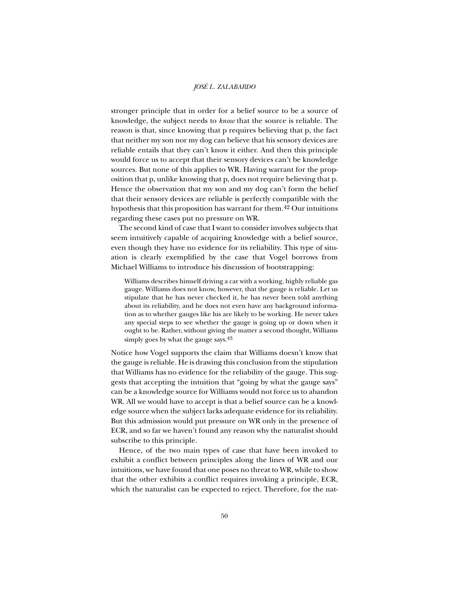stronger principle that in order for a belief source to be a source of knowledge, the subject needs to *know* that the source is reliable. The reason is that, since knowing that p requires believing that p, the fact that neither my son nor my dog can believe that his sensory devices are reliable entails that they can't know it either. And then this principle would force us to accept that their sensory devices can't be knowledge sources. But none of this applies to WR. Having warrant for the proposition that p, unlike knowing that p, does not require believing that p. Hence the observation that my son and my dog can't form the belief that their sensory devices are reliable is perfectly compatible with the hypothesis that this proposition has warrant for them.42 Our intuitions regarding these cases put no pressure on WR.

The second kind of case that I want to consider involves subjects that seem intuitively capable of acquiring knowledge with a belief source, even though they have no evidence for its reliability. This type of situation is clearly exemplified by the case that Vogel borrows from Michael Williams to introduce his discussion of bootstrapping:

Williams describes himself driving a car with a working, highly reliable gas gauge. Williams does not know, however, that the gauge is reliable. Let us stipulate that he has never checked it, he has never been told anything about its reliability, and he does not even have any background information as to whether gauges like his are likely to be working. He never takes any special steps to see whether the gauge is going up or down when it ought to be. Rather, without giving the matter a second thought, Williams simply goes by what the gauge says.<sup>43</sup>

Notice how Vogel supports the claim that Williams doesn't know that the gauge is reliable. He is drawing this conclusion from the stipulation that Williams has no evidence for the reliability of the gauge. This suggests that accepting the intuition that "going by what the gauge says" can be a knowledge source for Williams would not force us to abandon WR. All we would have to accept is that a belief source can be a knowledge source when the subject lacks adequate evidence for its reliability. But this admission would put pressure on WR only in the presence of ECR, and so far we haven't found any reason why the naturalist should subscribe to this principle.

Hence, of the two main types of case that have been invoked to exhibit a conflict between principles along the lines of WR and our intuitions, we have found that one poses no threat to WR, while to show that the other exhibits a conflict requires invoking a principle, ECR, which the naturalist can be expected to reject. Therefore, for the nat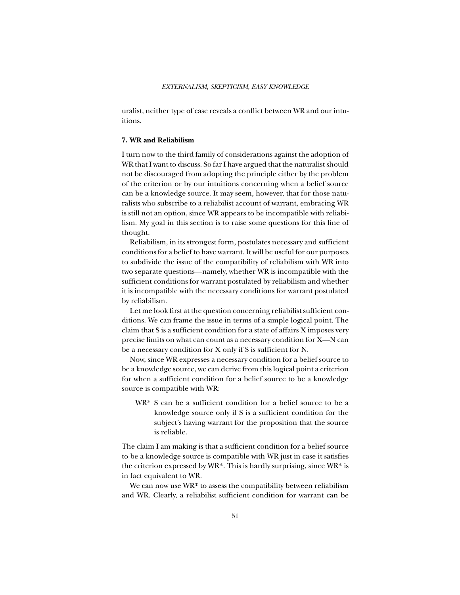uralist, neither type of case reveals a conflict between WR and our intuitions.

# **7. WR and Reliabilism**

I turn now to the third family of considerations against the adoption of WR that I want to discuss. So far I have argued that the naturalist should not be discouraged from adopting the principle either by the problem of the criterion or by our intuitions concerning when a belief source can be a knowledge source. It may seem, however, that for those naturalists who subscribe to a reliabilist account of warrant, embracing WR is still not an option, since WR appears to be incompatible with reliabilism. My goal in this section is to raise some questions for this line of thought.

Reliabilism, in its strongest form, postulates necessary and sufficient conditions for a belief to have warrant. It will be useful for our purposes to subdivide the issue of the compatibility of reliabilism with WR into two separate questions—namely, whether WR is incompatible with the sufficient conditions for warrant postulated by reliabilism and whether it is incompatible with the necessary conditions for warrant postulated by reliabilism.

Let me look first at the question concerning reliabilist sufficient conditions. We can frame the issue in terms of a simple logical point. The claim that S is a sufficient condition for a state of affairs X imposes very precise limits on what can count as a necessary condition for X—N can be a necessary condition for X only if S is sufficient for N.

Now, since WR expresses a necessary condition for a belief source to be a knowledge source, we can derive from this logical point a criterion for when a sufficient condition for a belief source to be a knowledge source is compatible with WR:

WR\* S can be a sufficient condition for a belief source to be a knowledge source only if S is a sufficient condition for the subject's having warrant for the proposition that the source is reliable.

The claim I am making is that a sufficient condition for a belief source to be a knowledge source is compatible with WR just in case it satisfies the criterion expressed by WR\*. This is hardly surprising, since WR\* is in fact equivalent to WR.

We can now use WR<sup>\*</sup> to assess the compatibility between reliabilism and WR. Clearly, a reliabilist sufficient condition for warrant can be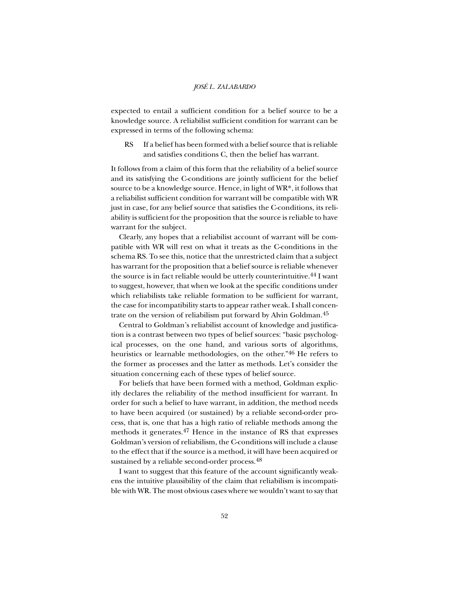expected to entail a sufficient condition for a belief source to be a knowledge source. A reliabilist sufficient condition for warrant can be expressed in terms of the following schema:

RS If a belief has been formed with a belief source that is reliable and satisfies conditions C, then the belief has warrant.

It follows from a claim of this form that the reliability of a belief source and its satisfying the C-conditions are jointly sufficient for the belief source to be a knowledge source. Hence, in light of WR\*, it follows that a reliabilist sufficient condition for warrant will be compatible with WR just in case, for any belief source that satisfies the C-conditions, its reliability is sufficient for the proposition that the source is reliable to have warrant for the subject.

Clearly, any hopes that a reliabilist account of warrant will be compatible with WR will rest on what it treats as the C-conditions in the schema RS. To see this, notice that the unrestricted claim that a subject has warrant for the proposition that a belief source is reliable whenever the source is in fact reliable would be utterly counterintuitive.44 I want to suggest, however, that when we look at the specific conditions under which reliabilists take reliable formation to be sufficient for warrant, the case for incompatibility starts to appear rather weak. I shall concentrate on the version of reliabilism put forward by Alvin Goldman.<sup>45</sup>

Central to Goldman's reliabilist account of knowledge and justification is a contrast between two types of belief sources: "basic psychological processes, on the one hand, and various sorts of algorithms, heuristics or learnable methodologies, on the other."46 He refers to the former as processes and the latter as methods. Let's consider the situation concerning each of these types of belief source.

For beliefs that have been formed with a method, Goldman explicitly declares the reliability of the method insufficient for warrant. In order for such a belief to have warrant, in addition, the method needs to have been acquired (or sustained) by a reliable second-order process, that is, one that has a high ratio of reliable methods among the methods it generates.47 Hence in the instance of RS that expresses Goldman's version of reliabilism, the C-conditions will include a clause to the effect that if the source is a method, it will have been acquired or sustained by a reliable second-order process.<sup>48</sup>

I want to suggest that this feature of the account significantly weakens the intuitive plausibility of the claim that reliabilism is incompatible with WR. The most obvious cases where we wouldn't want to say that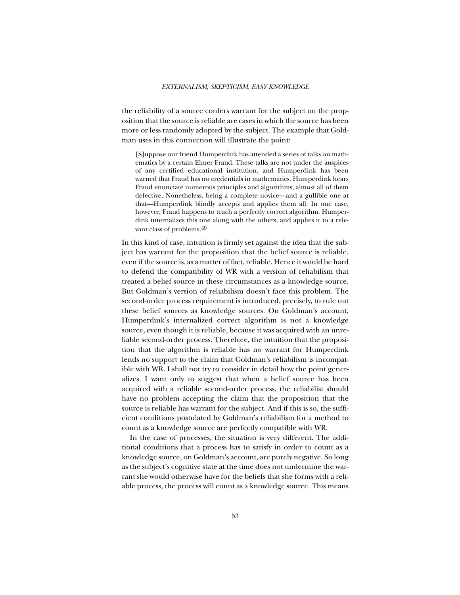the reliability of a source confers warrant for the subject on the proposition that the source is reliable are cases in which the source has been more or less randomly adopted by the subject. The example that Goldman uses in this connection will illustrate the point:

[S]uppose our friend Humperdink has attended a series of talks on mathematics by a certain Elmer Fraud. These talks are not under the auspices of any certified educational institution, and Humperdink has been warned that Fraud has no credentials in mathematics. Humperdink hears Fraud enunciate numerous principles and algorithms, almost all of them defective. Nonetheless, being a complete novice—and a gullible one at that—Humperdink blindly accepts and applies them all. In one case, however, Fraud happens to teach a perfectly correct algorithm. Humperdink internalizes this one along with the others, and applies it to a relevant class of problems.49

In this kind of case, intuition is firmly set against the idea that the subject has warrant for the proposition that the belief source is reliable, even if the source is, as a matter of fact, reliable. Hence it would be hard to defend the compatibility of WR with a version of reliabilism that treated a belief source in these circumstances as a knowledge source. But Goldman's version of reliabilism doesn't face this problem. The second-order process requirement is introduced, precisely, to rule out these belief sources as knowledge sources. On Goldman's account, Humperdink's internalized correct algorithm is not a knowledge source, even though it is reliable, because it was acquired with an unreliable second-order process. Therefore, the intuition that the proposition that the algorithm is reliable has no warrant for Humperdink lends no support to the claim that Goldman's reliabilism is incompatible with WR. I shall not try to consider in detail how the point generalizes. I want only to suggest that when a belief source has been acquired with a reliable second-order process, the reliabilist should have no problem accepting the claim that the proposition that the source is reliable has warrant for the subject. And if this is so, the sufficient conditions postulated by Goldman's reliabilism for a method to count as a knowledge source are perfectly compatible with WR.

In the case of processes, the situation is very different. The additional conditions that a process has to satisfy in order to count as a knowledge source, on Goldman's account, are purely negative. So long as the subject's cognitive state at the time does not undermine the warrant she would otherwise have for the beliefs that she forms with a reliable process, the process will count as a knowledge source. This means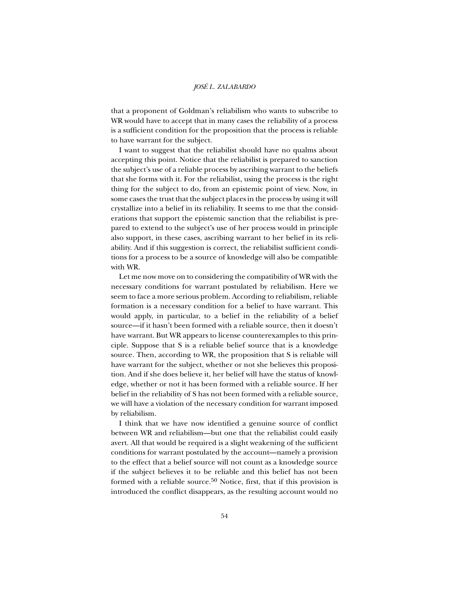that a proponent of Goldman's reliabilism who wants to subscribe to WR would have to accept that in many cases the reliability of a process is a sufficient condition for the proposition that the process is reliable to have warrant for the subject.

I want to suggest that the reliabilist should have no qualms about accepting this point. Notice that the reliabilist is prepared to sanction the subject's use of a reliable process by ascribing warrant to the beliefs that she forms with it. For the reliabilist, using the process is the right thing for the subject to do, from an epistemic point of view. Now, in some cases the trust that the subject places in the process by using it will crystallize into a belief in its reliability. It seems to me that the considerations that support the epistemic sanction that the reliabilist is prepared to extend to the subject's use of her process would in principle also support, in these cases, ascribing warrant to her belief in its reliability. And if this suggestion is correct, the reliabilist sufficient conditions for a process to be a source of knowledge will also be compatible with WR.

Let me now move on to considering the compatibility of WR with the necessary conditions for warrant postulated by reliabilism. Here we seem to face a more serious problem. According to reliabilism, reliable formation is a necessary condition for a belief to have warrant. This would apply, in particular, to a belief in the reliability of a belief source—if it hasn't been formed with a reliable source, then it doesn't have warrant. But WR appears to license counterexamples to this principle. Suppose that S is a reliable belief source that is a knowledge source. Then, according to WR, the proposition that S is reliable will have warrant for the subject, whether or not she believes this proposition. And if she does believe it, her belief will have the status of knowledge, whether or not it has been formed with a reliable source. If her belief in the reliability of S has not been formed with a reliable source, we will have a violation of the necessary condition for warrant imposed by reliabilism.

I think that we have now identified a genuine source of conflict between WR and reliabilism—but one that the reliabilist could easily avert. All that would be required is a slight weakening of the sufficient conditions for warrant postulated by the account—namely a provision to the effect that a belief source will not count as a knowledge source if the subject believes it to be reliable and this belief has not been formed with a reliable source.<sup>50</sup> Notice, first, that if this provision is introduced the conflict disappears, as the resulting account would no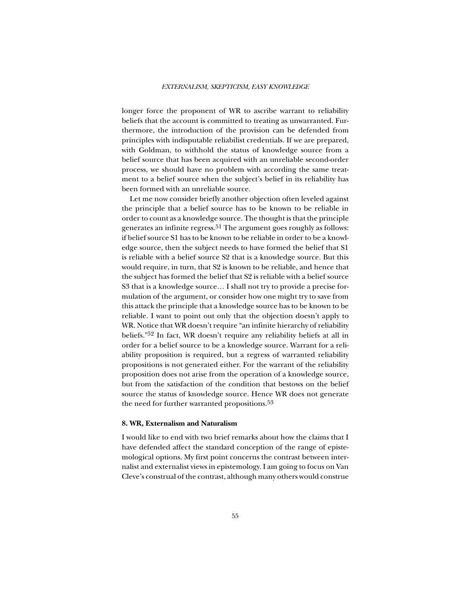longer force the proponent of WR to ascribe warrant to reliability beliefs that the account is committed to treating as unwarranted. Furthermore, the introduction of the provision can be defended from principles with indisputable reliabilist credentials. If we are prepared, with Goldman, to withhold the status of knowledge source from a belief source that has been acquired with an unreliable second-order process, we should have no problem with according the same treatment to a belief source when the subject's belief in its reliability has been formed with an unreliable source.

Let me now consider briefly another objection often leveled against the principle that a belief source has to be known to be reliable in order to count as a knowledge source. The thought is that the principle generates an infinite regress.51 The argument goes roughly as follows: if belief source S1 has to be known to be reliable in order to be a knowledge source, then the subject needs to have formed the belief that S1 is reliable with a belief source S2 that is a knowledge source. But this would require, in turn, that S2 is known to be reliable, and hence that the subject has formed the belief that S2 is reliable with a belief source S3 that is a knowledge source… I shall not try to provide a precise formulation of the argument, or consider how one might try to save from this attack the principle that a knowledge source has to be known to be reliable. I want to point out only that the objection doesn't apply to WR. Notice that WR doesn't require "an infinite hierarchy of reliability beliefs."52 In fact, WR doesn't require any reliability beliefs at all in order for a belief source to be a knowledge source. Warrant for a reliability proposition is required, but a regress of warranted reliability propositions is not generated either. For the warrant of the reliability proposition does not arise from the operation of a knowledge source, but from the satisfaction of the condition that bestows on the belief source the status of knowledge source. Hence WR does not generate the need for further warranted propositions.53

# **8. WR, Externalism and Naturalism**

I would like to end with two brief remarks about how the claims that I have defended affect the standard conception of the range of epistemological options. My first point concerns the contrast between internalist and externalist views in epistemology. I am going to focus on Van Cleve's construal of the contrast, although many others would construe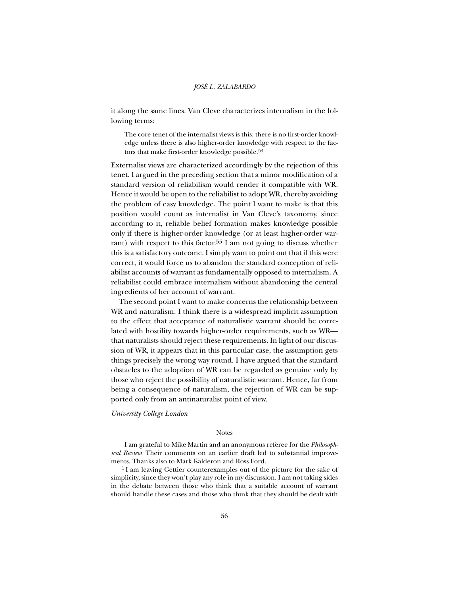it along the same lines. Van Cleve characterizes internalism in the following terms:

The core tenet of the internalist views is this: there is no first-order knowledge unless there is also higher-order knowledge with respect to the factors that make first-order knowledge possible.<sup>54</sup>

Externalist views are characterized accordingly by the rejection of this tenet. I argued in the preceding section that a minor modification of a standard version of reliabilism would render it compatible with WR. Hence it would be open to the reliabilist to adopt WR, thereby avoiding the problem of easy knowledge. The point I want to make is that this position would count as internalist in Van Cleve's taxonomy, since according to it, reliable belief formation makes knowledge possible only if there is higher-order knowledge (or at least higher-order warrant) with respect to this factor.<sup>55</sup> I am not going to discuss whether this is a satisfactory outcome. I simply want to point out that if this were correct, it would force us to abandon the standard conception of reliabilist accounts of warrant as fundamentally opposed to internalism. A reliabilist could embrace internalism without abandoning the central ingredients of her account of warrant.

The second point I want to make concerns the relationship between WR and naturalism. I think there is a widespread implicit assumption to the effect that acceptance of naturalistic warrant should be correlated with hostility towards higher-order requirements, such as WR that naturalists should reject these requirements. In light of our discussion of WR, it appears that in this particular case, the assumption gets things precisely the wrong way round. I have argued that the standard obstacles to the adoption of WR can be regarded as genuine only by those who reject the possibility of naturalistic warrant. Hence, far from being a consequence of naturalism, the rejection of WR can be supported only from an antinaturalist point of view.

#### *University College London*

### Notes

I am grateful to Mike Martin and an anonymous referee for the *Philosophical Review*. Their comments on an earlier draft led to substantial improvements. Thanks also to Mark Kalderon and Ross Ford.

1 I am leaving Gettier counterexamples out of the picture for the sake of simplicity, since they won't play any role in my discussion. I am not taking sides in the debate between those who think that a suitable account of warrant should handle these cases and those who think that they should be dealt with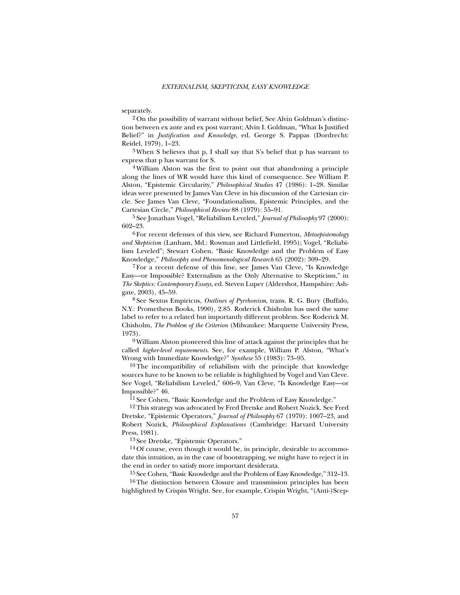### separately.

2 On the possibility of warrant without belief, See Alvin Goldman's distinction between ex ante and ex post warrant; Alvin I. Goldman, "What Is Justified Belief?" in *Justification and Knowledge*, ed. George S. Pappas (Dordrecht: Reidel, 1979), 1–23.

3 When S believes that p, I shall say that S's belief that p has warrant to express that p has warrant for S.

4 William Alston was the first to point out that abandoning a principle along the lines of WR would have this kind of consequence. See William P. Alston, "Epistemic Circularity," *Philosophical Studies* 47 (1986): 1–28. Similar ideas were presented by James Van Cleve in his discussion of the Cartesian circle. See James Van Cleve, "Foundationalism, Epistemic Principles, and the Cartesian Circle," *Philosophical Review* 88 (1979): 55–91.

5 See Jonathan Vogel, "Reliabilism Leveled," *Journal of Philosophy* 97 (2000): 602–23.

6 For recent defenses of this view, see Richard Fumerton, *Metaepistemology and Skepticism* (Lanham, Md.: Rowman and Littlefield, 1995); Vogel, "Reliabilism Leveled"; Stewart Cohen, "Basic Knowledge and the Problem of Easy Knowledge," *Philosophy and Phenomenological Research* 65 (2002): 309–29.

7 For a recent defense of this line, see James Van Cleve, "Is Knowledge Easy—or Impossible? Externalism as the Only Alternative to Skepticism," in *The Skeptics: Contemporary Essays*, ed. Steven Luper (Aldershot, Hampshire: Ashgate, 2003), 45–59.

8 See Sextus Empiricus, *Outlines of Pyrrhonism*, trans. R. G. Bury (Buffalo, N.Y.: Prometheus Books, 1990), 2.85. Roderick Chisholm has used the same label to refer to a related but importantly different problem. See Roderick M. Chisholm, *The Problem of the Criterion* (Milwaukee: Marquette University Press, 1973).

9 William Alston pioneered this line of attack against the principles that he called *higher-level requirements*. See, for example, William P. Alston, "What's Wrong with Immediate Knowledge?" *Synthese* 55 (1983): 73–95.

 $10$ The incompatibility of reliabilism with the principle that knowledge sources have to be known to be reliable is highlighted by Vogel and Van Cleve. See Vogel, "Reliabilism Leveled," 606–9, Van Cleve, "Is Knowledge Easy—or Impossible?" 46.

11 See Cohen, "Basic Knowledge and the Problem of Easy Knowledge."

<sup>12</sup> This strategy was advocated by Fred Dretske and Robert Nozick. See Fred Dretske, "Epistemic Operators," *Journal of Philosophy* 67 (1970): 1007–23, and Robert Nozick, *Philosophical Explanations* (Cambridge: Harvard University Press, 1981).

13 See Dretske, "Epistemic Operators."

14 Of course, even though it would be, in principle, desirable to accommodate this intuition, as in the case of bootstrapping, we might have to reject it in the end in order to satisfy more important desiderata.

15 See Cohen, "Basic Knowledge and the Problem of Easy Knowledge," 312–13.

16The distinction between Closure and transmission principles has been highlighted by Crispin Wright. See, for example, Crispin Wright, "(Anti-)Scep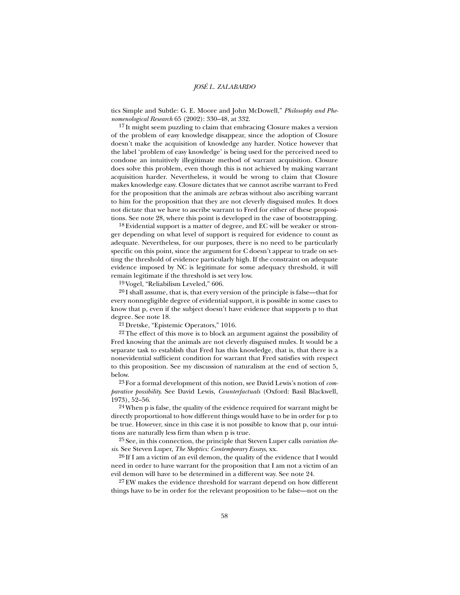tics Simple and Subtle: G. E. Moore and John McDowell," *Philosophy and Phenomenological Research* 65 (2002): 330–48, at 332.

<sup>17</sup> It might seem puzzling to claim that embracing Closure makes a version of the problem of easy knowledge disappear, since the adoption of Closure doesn't make the acquisition of knowledge any harder. Notice however that the label 'problem of easy knowledge' is being used for the perceived need to condone an intuitively illegitimate method of warrant acquisition. Closure does solve this problem, even though this is not achieved by making warrant acquisition harder. Nevertheless, it would be wrong to claim that Closure makes knowledge easy. Closure dictates that we cannot ascribe warrant to Fred for the proposition that the animals are zebras without also ascribing warrant to him for the proposition that they are not cleverly disguised mules. It does not dictate that we have to ascribe warrant to Fred for either of these propositions. See note 28, where this point is developed in the case of bootstrapping.

18 Evidential support is a matter of degree, and EC will be weaker or stronger depending on what level of support is required for evidence to count as adequate. Nevertheless, for our purposes, there is no need to be particularly specific on this point, since the argument for C doesn't appear to trade on setting the threshold of evidence particularly high. If the constraint on adequate evidence imposed by NC is legitimate for some adequacy threshold, it will remain legitimate if the threshold is set very low.

19Vogel, "Reliabilism Leveled," 606.

20 I shall assume, that is, that every version of the principle is false—that for every nonnegligible degree of evidential support, it is possible in some cases to know that p, even if the subject doesn't have evidence that supports p to that degree. See note 18.

21 Dretske, "Epistemic Operators," 1016.

<sup>22</sup> The effect of this move is to block an argument against the possibility of Fred knowing that the animals are not cleverly disguised mules. It would be a separate task to establish that Fred has this knowledge, that is, that there is a nonevidential sufficient condition for warrant that Fred satisfies with respect to this proposition. See my discussion of naturalism at the end of section 5, below.

23 For a formal development of this notion, see David Lewis's notion of *comparative possibility*. See David Lewis, *Counterfactuals* (Oxford: Basil Blackwell, 1973), 52–56.

24 When p is false, the quality of the evidence required for warrant might be directly proportional to how different things would have to be in order for p to be true. However, since in this case it is not possible to know that p, our intuitions are naturally less firm than when p is true.

25 See, in this connection, the principle that Steven Luper calls *variation thesis*. See Steven Luper, *The Skeptics: Contemporary Essays*, xx.

 $26$  If I am a victim of an evil demon, the quality of the evidence that I would need in order to have warrant for the proposition that I am not a victim of an evil demon will have to be determined in a different way. See note 24.

27 EW makes the evidence threshold for warrant depend on how different things have to be in order for the relevant proposition to be false—not on the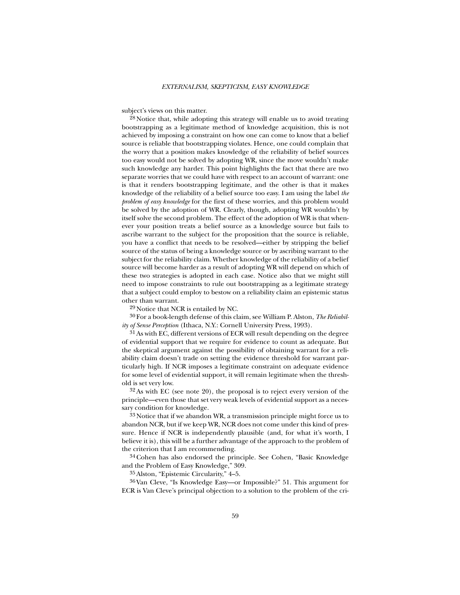subject's views on this matter.

28 Notice that, while adopting this strategy will enable us to avoid treating bootstrapping as a legitimate method of knowledge acquisition, this is not achieved by imposing a constraint on how one can come to know that a belief source is reliable that bootstrapping violates. Hence, one could complain that the worry that a position makes knowledge of the reliability of belief sources too easy would not be solved by adopting WR, since the move wouldn't make such knowledge any harder. This point highlights the fact that there are two separate worries that we could have with respect to an account of warrant: one is that it renders bootstrapping legitimate, and the other is that it makes knowledge of the reliability of a belief source too easy. I am using the label *the problem of easy knowledge* for the first of these worries, and this problem would be solved by the adoption of WR. Clearly, though, adopting WR wouldn't by itself solve the second problem. The effect of the adoption of WR is that whenever your position treats a belief source as a knowledge source but fails to ascribe warrant to the subject for the proposition that the source is reliable, you have a conflict that needs to be resolved—either by stripping the belief source of the status of being a knowledge source or by ascribing warrant to the subject for the reliability claim. Whether knowledge of the reliability of a belief source will become harder as a result of adopting WR will depend on which of these two strategies is adopted in each case. Notice also that we might still need to impose constraints to rule out bootstrapping as a legitimate strategy that a subject could employ to bestow on a reliability claim an epistemic status other than warrant.

29 Notice that NCR is entailed by NC.

30 For a book-length defense of this claim, see William P. Alston, *The Reliability of Sense Perception* (Ithaca, N.Y.: Cornell University Press, 1993).

31As with EC, different versions of ECR will result depending on the degree of evidential support that we require for evidence to count as adequate. But the skeptical argument against the possibility of obtaining warrant for a reliability claim doesn't trade on setting the evidence threshold for warrant particularly high. If NCR imposes a legitimate constraint on adequate evidence for some level of evidential support, it will remain legitimate when the threshold is set very low.

32As with EC (see note 20), the proposal is to reject every version of the principle—even those that set very weak levels of evidential support as a necessary condition for knowledge.

33 Notice that if we abandon WR, a transmission principle might force us to abandon NCR, but if we keep WR, NCR does not come under this kind of pressure. Hence if NCR is independently plausible (and, for what it's worth, I believe it is), this will be a further advantage of the approach to the problem of the criterion that I am recommending.

34Cohen has also endorsed the principle. See Cohen, "Basic Knowledge and the Problem of Easy Knowledge," 309.

35Alston, "Epistemic Circularity," 4–5.

36Van Cleve, "Is Knowledge Easy—or Impossible?" 51. This argument for ECR is Van Cleve's principal objection to a solution to the problem of the cri-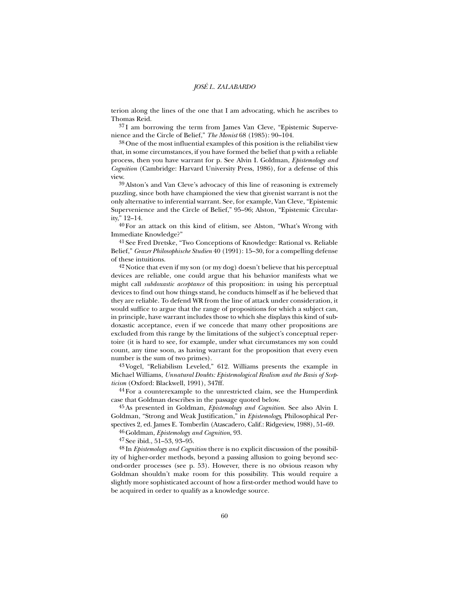terion along the lines of the one that I am advocating, which he ascribes to Thomas Reid.

37 I am borrowing the term from James Van Cleve, "Epistemic Supervenience and the Circle of Belief," *The Monist* 68 (1985): 90–104.

38 One of the most influential examples of this position is the reliabilist view that, in some circumstances, if you have formed the belief that p with a reliable process, then you have warrant for p. See Alvin I. Goldman, *Epistemology and Cognition* (Cambridge: Harvard University Press, 1986), for a defense of this view.

39Alston's and Van Cleve's advocacy of this line of reasoning is extremely puzzling, since both have championed the view that givenist warrant is not the only alternative to inferential warrant. See, for example, Van Cleve, "Epistemic Supervenience and the Circle of Belief," 95–96; Alston, "Epistemic Circularity," 12–14.

40 For an attack on this kind of elitism, see Alston, "What's Wrong with Immediate Knowledge?"

41 See Fred Dretske, "Two Conceptions of Knowledge: Rational vs. Reliable Belief," *Grazer Philosophische Studien* 40 (1991): 15–30, for a compelling defense of these intuitions.

42 Notice that even if my son (or my dog) doesn't believe that his perceptual devices are reliable, one could argue that his behavior manifests what we might call *subdoxastic acceptance* of this proposition: in using his perceptual devices to find out how things stand, he conducts himself as if he believed that they are reliable. To defend WR from the line of attack under consideration, it would suffice to argue that the range of propositions for which a subject can, in principle, have warrant includes those to which she displays this kind of subdoxastic acceptance, even if we concede that many other propositions are excluded from this range by the limitations of the subject's conceptual repertoire (it is hard to see, for example, under what circumstances my son could count, any time soon, as having warrant for the proposition that every even number is the sum of two primes).

43Vogel, "Reliabilism Leveled," 612. Williams presents the example in Michael Williams, *Unnatural Doubts: Epistemological Realism and the Basis of Scepticism* (Oxford: Blackwell, 1991), 347ff.

44 For a counterexample to the unrestricted claim, see the Humperdink case that Goldman describes in the passage quoted below.

45As presented in Goldman, *Epistemology and Cognition*. See also Alvin I. Goldman, "Strong and Weak Justification," in *Epistemology*, Philosophical Perspectives 2, ed. James E. Tomberlin (Atascadero, Calif.: Ridgeview, 1988), 51–69.

46 Goldman, *Epistemology and Cognition*, 93.

47 See ibid., 51–53, 93–95.

48 In *Epistemology and Cognition* there is no explicit discussion of the possibility of higher-order methods, beyond a passing allusion to going beyond second-order processes (see p. 53). However, there is no obvious reason why Goldman shouldn't make room for this possibility. This would require a slightly more sophisticated account of how a first-order method would have to be acquired in order to qualify as a knowledge source.